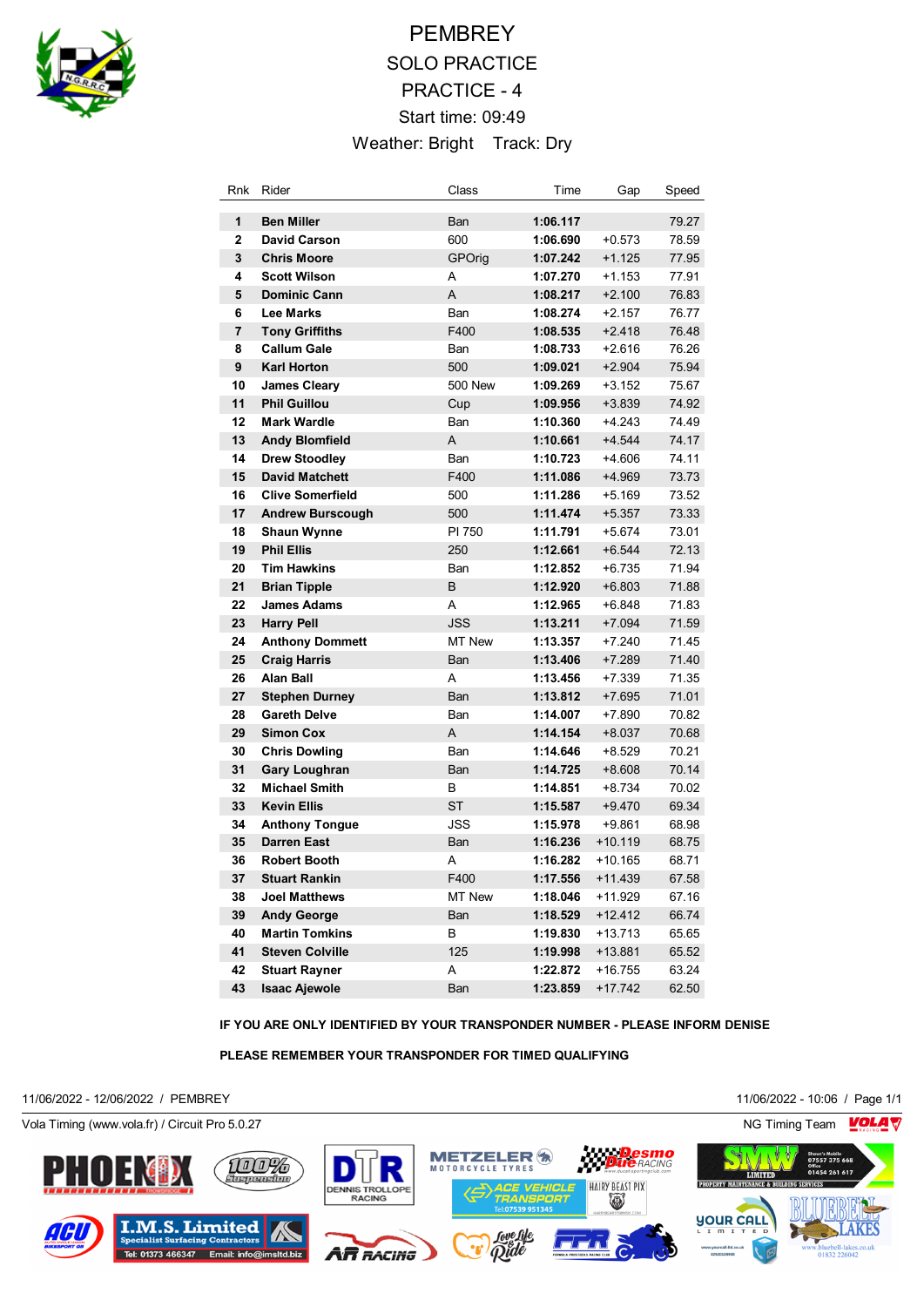

# **PEMBREY** SOLO PRACTICE PRACTICE - 4 Start time: 09:49 Weather: Bright Track: Dry

| Rnk            | Rider                   | Class          | Time     | Gap       | Speed |
|----------------|-------------------------|----------------|----------|-----------|-------|
| 1              | <b>Ben Miller</b>       | Ban            | 1:06.117 |           | 79.27 |
| $\overline{2}$ | <b>David Carson</b>     | 600            | 1:06.690 | $+0.573$  | 78.59 |
| 3              | <b>Chris Moore</b>      | GPOrig         | 1:07.242 | $+1.125$  | 77.95 |
| 4              | <b>Scott Wilson</b>     | A              | 1:07.270 | $+1.153$  | 77.91 |
| 5              | <b>Dominic Cann</b>     | A              | 1:08.217 | $+2.100$  | 76.83 |
| 6              | <b>Lee Marks</b>        | Ban            | 1:08.274 | $+2.157$  | 76.77 |
| $\overline{7}$ | <b>Tony Griffiths</b>   | F400           | 1:08.535 | $+2.418$  | 76.48 |
| 8              | <b>Callum Gale</b>      | Ban            | 1:08.733 | $+2.616$  | 76.26 |
| 9              | <b>Karl Horton</b>      | 500            | 1:09.021 | $+2.904$  | 75.94 |
| 10             | <b>James Cleary</b>     | <b>500 New</b> | 1:09.269 | $+3.152$  | 75.67 |
| 11             | <b>Phil Guillou</b>     | Cup            | 1:09.956 | $+3.839$  | 74.92 |
| 12             | <b>Mark Wardle</b>      | Ban            | 1:10.360 | $+4.243$  | 74.49 |
| 13             | <b>Andy Blomfield</b>   | A              | 1:10.661 | $+4.544$  | 74.17 |
| 14             | <b>Drew Stoodley</b>    | Ban            | 1:10.723 | $+4.606$  | 74.11 |
| 15             | <b>David Matchett</b>   | F400           | 1:11.086 | $+4.969$  | 73.73 |
| 16             | <b>Clive Somerfield</b> | 500            | 1:11.286 | $+5.169$  | 73.52 |
| 17             | <b>Andrew Burscough</b> | 500            | 1:11.474 | $+5.357$  | 73.33 |
| 18             | <b>Shaun Wynne</b>      | PI 750         | 1:11.791 | $+5.674$  | 73.01 |
| 19             | <b>Phil Ellis</b>       | 250            | 1:12.661 | $+6.544$  | 72.13 |
| 20             | <b>Tim Hawkins</b>      | Ban            | 1:12.852 | $+6.735$  | 71.94 |
| 21             | <b>Brian Tipple</b>     | B              | 1:12.920 | $+6.803$  | 71.88 |
| 22             | <b>James Adams</b>      | A              | 1:12.965 | +6.848    | 71.83 |
| 23             | <b>Harry Pell</b>       | <b>JSS</b>     | 1:13.211 | $+7.094$  | 71.59 |
| 24             | <b>Anthony Dommett</b>  | MT New         | 1:13.357 | $+7.240$  | 71.45 |
| 25             | <b>Craig Harris</b>     | Ban            | 1:13.406 | $+7.289$  | 71.40 |
| 26             | <b>Alan Ball</b>        | A              | 1:13.456 | $+7.339$  | 71.35 |
| 27             | <b>Stephen Durney</b>   | Ban            | 1:13.812 | $+7.695$  | 71.01 |
| 28             | <b>Gareth Delve</b>     | Ban            | 1:14.007 | $+7.890$  | 70.82 |
| 29             | <b>Simon Cox</b>        | A              | 1:14.154 | $+8.037$  | 70.68 |
| 30             | <b>Chris Dowling</b>    | Ban            | 1:14.646 | $+8.529$  | 70.21 |
| 31             | <b>Gary Loughran</b>    | Ban            | 1:14.725 | $+8.608$  | 70.14 |
| 32             | <b>Michael Smith</b>    | в              | 1:14.851 | +8.734    | 70.02 |
| 33             | <b>Kevin Ellis</b>      | <b>ST</b>      | 1:15.587 | $+9.470$  | 69.34 |
| 34             | <b>Anthony Tongue</b>   | JSS            | 1:15.978 | $+9.861$  | 68.98 |
| 35             | <b>Darren East</b>      | Ban            | 1:16.236 | +10.119   | 68.75 |
| 36             | <b>Robert Booth</b>     | Α              | 1:16.282 | $+10.165$ | 68.71 |
| 37             | <b>Stuart Rankin</b>    | F400           | 1:17.556 | $+11.439$ | 67.58 |
| 38             | <b>Joel Matthews</b>    | <b>MT New</b>  | 1:18.046 | $+11.929$ | 67.16 |
| 39             | <b>Andy George</b>      | Ban            | 1:18.529 | $+12.412$ | 66.74 |
| 40             | <b>Martin Tomkins</b>   | в              | 1:19.830 | +13.713   | 65.65 |
| 41             | <b>Steven Colville</b>  | 125            | 1:19.998 | $+13.881$ | 65.52 |
| 42             | <b>Stuart Rayner</b>    | Α              | 1:22.872 | +16.755   | 63.24 |
| 43             | <b>Isaac Ajewole</b>    | Ban            | 1:23.859 | $+17.742$ | 62.50 |

**IF YOU ARE ONLY IDENTIFIED BY YOUR TRANSPONDER NUMBER - PLEASE INFORM DENISE**

**PLEASE REMEMBER YOUR TRANSPONDER FOR TIMED QUALIFYING**

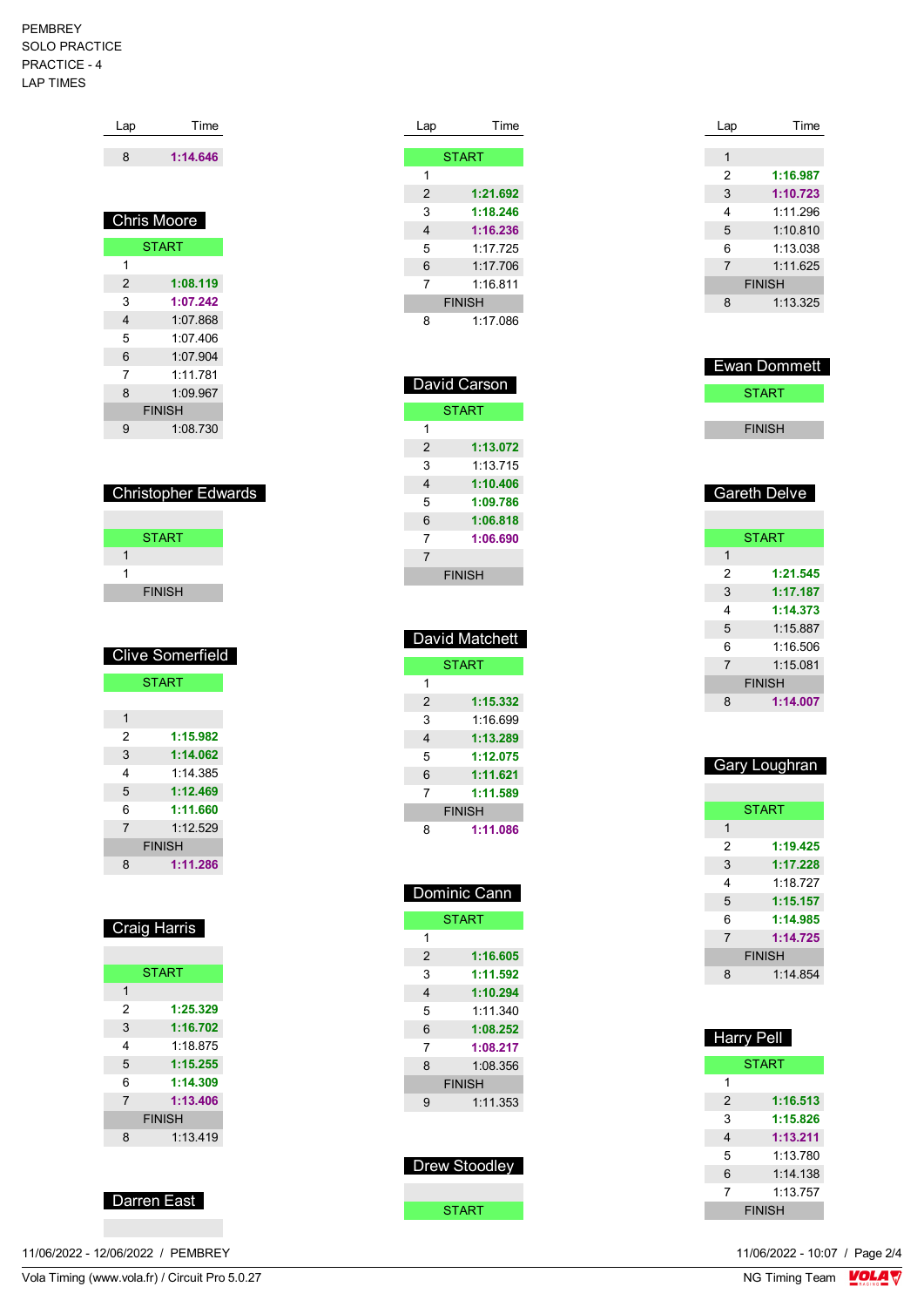#### PEMBREY SOLO PRACTICE PRACTICE - 4 LAP TIMES

| Lap            | Time               |  |  |
|----------------|--------------------|--|--|
| 8              | 1:14.646           |  |  |
|                |                    |  |  |
|                | <b>Chris Moore</b> |  |  |
| <b>START</b>   |                    |  |  |
| 1              |                    |  |  |
| $\overline{2}$ | 1:08.119           |  |  |
| 3              | 1:07.242           |  |  |
| 4              | 1:07.868           |  |  |
| 5              | 1:07.406           |  |  |
| 6              | 1:07.904           |  |  |
| 7              | 1.11781            |  |  |
| 8              | 1:09.967           |  |  |
|                | <b>FINISH</b>      |  |  |
| 9              | 1:08.730           |  |  |

| <b>Christopher Edwards</b> |
|----------------------------|
|----------------------------|

| <b>START</b>  |  |
|---------------|--|
|               |  |
|               |  |
| <b>FINISH</b> |  |
|               |  |

|                | <b>Clive Somerfield</b> |  |
|----------------|-------------------------|--|
| <b>START</b>   |                         |  |
|                |                         |  |
| 1              |                         |  |
| 2              | 1:15.982                |  |
| 3              | 1:14.062                |  |
| 4              | 1.14.385                |  |
| 5              | 1:12.469                |  |
| 6              | 1:11.660                |  |
| $\overline{7}$ | 1:12.529                |  |
|                | <b>FINISH</b>           |  |
| 8              | 1:11.286                |  |

| <b>Craig Harris</b> |
|---------------------|
|                     |

|                | <b>START</b> |  |
|----------------|--------------|--|
| 1              |              |  |
| 2              | 1:25.329     |  |
| 3              | 1:16.702     |  |
| 4              | 1:18.875     |  |
| 5              | 1:15.255     |  |
| 6              | 1:14.309     |  |
| $\overline{7}$ | 1:13.406     |  |
| <b>FINISH</b>  |              |  |
| 8              | 1:13.419     |  |
|                |              |  |



11/06/2022 - 12/06/2022 / PEMBREY

| Lap | Time          |
|-----|---------------|
|     |               |
|     | <b>START</b>  |
| 1   |               |
| 2   | 1:21.692      |
| 3   | 1:18.246      |
| 4   | 1:16.236      |
| 5   | 1.177725      |
| 6   | 1:17.706      |
| 7   | 1:16.811      |
|     | <b>FINISH</b> |
| 8   | 1.17 086      |

|                | David Carson  |  |
|----------------|---------------|--|
| <b>START</b>   |               |  |
| 1              |               |  |
| $\mathfrak{p}$ | 1:13.072      |  |
| 3              | 1:13.715      |  |
| 4              | 1:10.406      |  |
| 5              | 1:09.786      |  |
| 6              | 1:06.818      |  |
| 7              | 1:06.690      |  |
| 7              |               |  |
|                | <b>FINISH</b> |  |

|               | David Matchett |  |
|---------------|----------------|--|
| <b>START</b>  |                |  |
| 1             |                |  |
| 2             | 1:15.332       |  |
| 3             | 1.16699        |  |
| 4             | 1:13.289       |  |
| 5             | 1:12.075       |  |
| 6             | 1:11.621       |  |
| 7             | 1:11.589       |  |
| <b>FINISH</b> |                |  |
| 8             | 1:11.086       |  |

|               | <u> Dominic Cann</u> |  |
|---------------|----------------------|--|
|               | <b>START</b>         |  |
| 1             |                      |  |
| 2             | 1:16.605             |  |
| 3             | 1:11.592             |  |
| 4             | 1:10.294             |  |
| 5             | 1.11340              |  |
| 6             | 1:08.252             |  |
| 7             | 1:08.217             |  |
| 8             | 1.08.356             |  |
| <b>FINISH</b> |                      |  |
| 9             | 1:11.353             |  |
|               |                      |  |
|               |                      |  |

| Drew Stoodlev |  |
|---------------|--|
|               |  |
| <b>START</b>  |  |

| Lap            | Time          |
|----------------|---------------|
|                |               |
| 1              |               |
| 2              | 1:16.987      |
| 3              | 1:10.723      |
| 4              | 1:11.296      |
| 5              | 1:10.810      |
| 6              | 1:13.038      |
| $\overline{7}$ | 1:11.625      |
|                | <b>FINISH</b> |
| 8              | 1:13.325      |
|                |               |

| ⊟Ewan Dommett |  |
|---------------|--|
| <b>START</b>  |  |
|               |  |
| <b>FINISH</b> |  |

# Gareth Delve

|                | <b>START</b>  |
|----------------|---------------|
| 1              |               |
| 2              | 1:21.545      |
| 3              | 1:17.187      |
| 4              | 1:14.373      |
| 5              | 1:15.887      |
| 6              | 1:16.506      |
| $\overline{7}$ | 1:15.081      |
|                | <b>FINISH</b> |
| 8              | 1:14.007      |
|                |               |

| Gary Loughran |
|---------------|
|               |

|                | <b>START</b> |  |
|----------------|--------------|--|
| 1              |              |  |
| 2              | 1:19.425     |  |
| 3              | 1:17.228     |  |
| 4              | 1:18.727     |  |
| 5              | 1:15.157     |  |
| 6              | 1:14.985     |  |
| $\overline{7}$ | 1:14.725     |  |
| <b>FINISH</b>  |              |  |
| 8              | 1:14.854     |  |
|                |              |  |

| <b>Harry Pell</b> |               |
|-------------------|---------------|
|                   | <b>START</b>  |
| 1                 |               |
| 2                 | 1:16.513      |
| 3                 | 1:15.826      |
| 4                 | 1:13.211      |
| 5                 | 1:13.780      |
| 6                 | $1.14$ 138    |
| 7                 | 1:13.757      |
|                   | <b>FINISH</b> |

11/06/2022 - 10:07 / Page 2/4<br>NG Timing Team  $\frac{\text{VOLA}}{\text{N}}$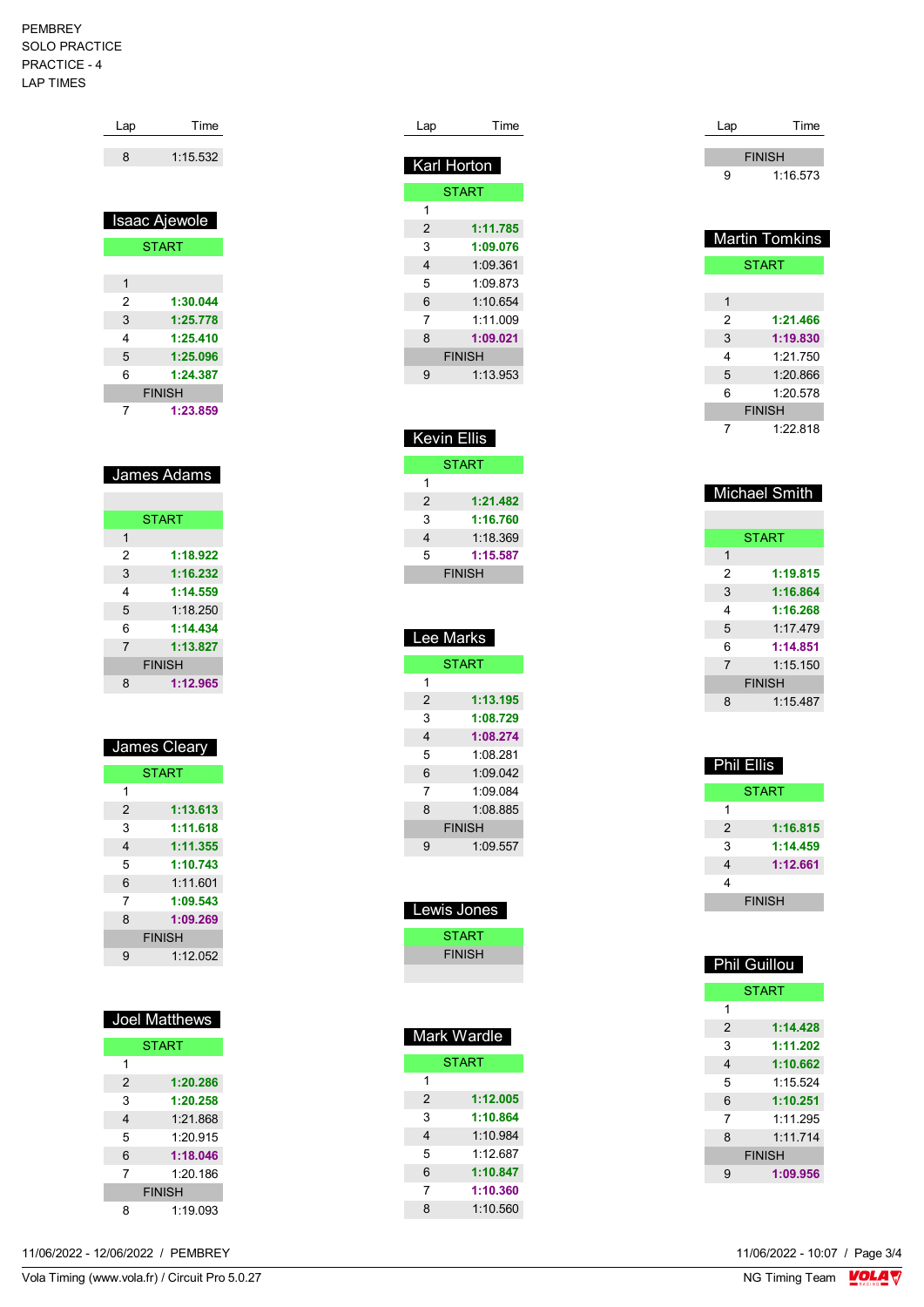#### PEMBREY SOLO PRACTICE PRACTICE - 4 LAP TIMES

| Lap          | Time          |
|--------------|---------------|
| 8            | 1:15.532      |
|              | Isaac Ajewole |
|              | <b>START</b>  |
|              |               |
| $\mathbf{1}$ |               |
| 2            | 1:30.044      |
| 3            | 1:25.778      |
| 4            | 1:25.410      |
| 5            | 1:25.096      |
| 6            | 1:24.387      |
|              | <b>FINISH</b> |
| 7            | 1:23.859      |

|                | <b>START</b>  |
|----------------|---------------|
| 1              |               |
| 2              | 1:18.922      |
| 3              | 1:16.232      |
| 4              | 1:14.559      |
| 5              | 1:18.250      |
| 6              | 1:14.434      |
| $\overline{7}$ | 1:13.827      |
|                | <b>FINISH</b> |
| 8              | 1:12.965      |

| <b>START</b><br>1<br>1:13.613<br>$\overline{2}$<br>3<br>1:11.618<br>1:11.355<br>4 |
|-----------------------------------------------------------------------------------|
|                                                                                   |
|                                                                                   |
|                                                                                   |
|                                                                                   |
|                                                                                   |
| 5<br>1:10.743                                                                     |
| 6<br>1:11.601                                                                     |
| 7<br>1:09.543                                                                     |
| 8<br>1:09.269                                                                     |
| <b>FINISH</b>                                                                     |
| 1:12.052<br>g                                                                     |

| Joel Matthews |              |  |
|---------------|--------------|--|
|               | <b>START</b> |  |
| 1             |              |  |
| 2             | 1:20.286     |  |
| 3             | 1:20.258     |  |
| 4             | 1:21.868     |  |
| 5             | 1.20915      |  |
| 6             | 1:18.046     |  |
| 7             | 1:20.186     |  |
| <b>FINISH</b> |              |  |
| я             | 1:19.093     |  |

| Lap | Time          |
|-----|---------------|
|     |               |
|     | Karl Horton   |
|     | <b>START</b>  |
| 1   |               |
| 2   | 1:11.785      |
| 3   | 1:09.076      |
| 4   | 1:09.361      |
| 5   | 1:09.873      |
| 6   | 1:10.654      |
| 7   | 1:11.009      |
| 8   | 1:09.021      |
|     | <b>FINISH</b> |
| 9   | 1:13.953      |

| <b>Kevin Ellis</b> |               |
|--------------------|---------------|
|                    | <b>START</b>  |
| 1                  |               |
| 2                  | 1:21.482      |
| 3                  | 1:16.760      |
| 4                  | 1:18.369      |
| 5                  | 1:15.587      |
|                    | <b>FINISH</b> |
|                    |               |

|               | Lee Marks     |  |
|---------------|---------------|--|
|               | <b>START</b>  |  |
| 1             |               |  |
| $\mathcal{P}$ | 1:13.195      |  |
| 3             | 1:08.729      |  |
| 4             | 1:08.274      |  |
| 5             | 1:08.281      |  |
| 6             | 1:09.042      |  |
| 7             | 1.09084       |  |
| 8             | 1:08.885      |  |
|               | <b>FINISH</b> |  |
| 9             | 1:09.557      |  |
|               |               |  |

| Lewis Jones   |
|---------------|
| START         |
| <b>FINISH</b> |
|               |

| <b>START</b><br>1         |
|---------------------------|
|                           |
|                           |
| 1:12.005<br>$\mathcal{P}$ |
| 3<br>1:10.864             |
| 1.10984<br>4              |
| 5<br>1.12687              |
| 1:10.847<br>6             |
| 1:10.360<br>7             |
| 1.10560<br>8              |

| Lap | Time          |
|-----|---------------|
|     | <b>FINISH</b> |
| g   | 1:16.573      |

|   | <b>Martin Tomkins</b> |
|---|-----------------------|
|   | <b>START</b>          |
|   |                       |
| 1 |                       |
| 2 | 1:21.466              |
| 3 | 1:19.830              |
| 4 | 1.21 750              |
| 5 | 1:20.866              |
| 6 | 1:20.578              |
|   | <b>FINISH</b>         |
|   | 1:22.818              |

|  | <b>Michael Smith</b> |  |
|--|----------------------|--|
|--|----------------------|--|

|                | <b>START</b>  |
|----------------|---------------|
| 1              |               |
| 2              | 1:19.815      |
| 3              | 1:16.864      |
| 4              | 1:16.268      |
| 5              | 1.17479       |
| 6              | 1:14.851      |
| $\overline{7}$ | 1:15.150      |
|                | <b>FINISH</b> |
| 8              | 1.15487       |
|                |               |

| <b>Phil Ellis</b> |               |
|-------------------|---------------|
|                   | <b>START</b>  |
| 1                 |               |
| 2                 | 1:16.815      |
| 3                 | 1:14.459      |
| 4                 | 1:12.661      |
| 4                 |               |
|                   | <b>FINISH</b> |

| <b>Phil Guillou</b> |               |
|---------------------|---------------|
|                     | <b>START</b>  |
| 1                   |               |
| 2                   | 1:14.428      |
| 3                   | 1:11.202      |
| 4                   | 1:10.662      |
| 5                   | 1.15.524      |
| 6                   | 1:10.251      |
| 7                   | 1.11295       |
| 8                   | 1.11714       |
|                     | <b>FINISH</b> |
| 9                   | 1:09.956      |

11/06/2022 - 10:07 / Page 3/4<br>NG Timing Team  $\frac{\text{VOLA}}{\text{V}}$